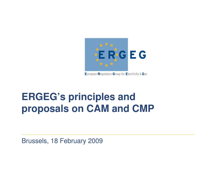

European Regulators Group for Electricity & Gas

# **ERGEG's principles and proposals on CAM and CMP**

Brussels, 18 February 2009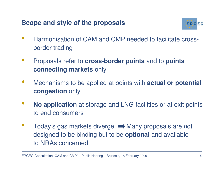

- • Harmonisation of CAM and CMP needed to facilitate crossborder trading
- $\bullet$  Proposals refer to **cross-border points** and to **points connecting markets** only
- • Mechanisms to be applied at points with **actual or potential congestion** only
- • **No application** at storage and LNG facilities or at exit points to end consumers
- •Today's gas markets diverge  $\longrightarrow$  Many proposals are not designed to be binding but to be **optional** and available to NRAs concerned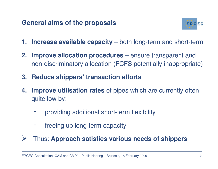

- **1. Increase available capacity** both long-term and short-term
- **2. Improve allocation procedures** ensure transparent and non-discriminatory allocation (FCFS potentially inappropriate)
- **3. Reduce shippers' transaction efforts**
- **4. Improve utilisation rates** of pipes which are currently often quite low by:
	- providing additional short-term flexibility
	- freeing up long-term capacity
- $\sum_{i=1}^{n}$ Thus: **Approach satisfies various needs of shippers**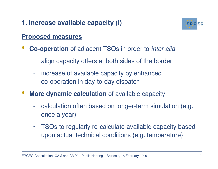

- $\bullet$  **Co-operation** of adjacent TSOs in order to inter alia
	- align capacity offers at both sides of the border
	- increase of available capacity by enhanced co-operation in day-to-day dispatch
- $\bullet$  **More dynamic calculation** of available capacity
	- calculation often based on longer-term simulation (e.g. once a year)
	- - TSOs to regularly re-calculate available capacity based upon actual technical conditions (e.g. temperature)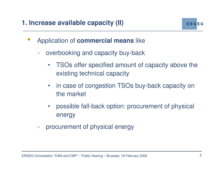

- • Application of **commercial means** like
	- overbooking and capacity buy-back
		- $\bullet$  TSOs offer specified amount of capacity above the existing technical capacity
		- in case of congestion TSOs buy-back capacity on the market
		- $\bullet$  possible fall-back option: procurement of physical energy
	- procurement of physical energy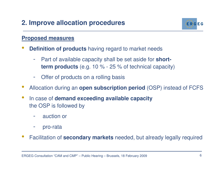### **2. Improve allocation procedures**



- • **Definition of products** having regard to market needs
	- - Part of available capacity shall be set aside for **shortterm products** (e.g. 10 % - 25 % of technical capacity)
	- -Offer of products on a rolling basis
- •Allocation during an **open subscription period** (OSP) instead of FCFS
- • In case of **demand exceeding available capacity**the OSP is followed by
	- auction or
	- pro-rata
- •Facilitation of **secondary markets** needed, but already legally required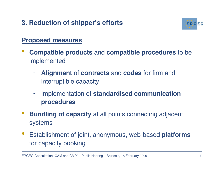

- $\bullet$  **Compatible products** and **compatible procedures** to be implemented
	- - **Alignment** of **contracts** and **codes** for firm and interruptible capacity
	- - Implementation of **standardised communication procedures**
- •**Bundling of capacity** at all points connecting adjacent systems
- $\bullet$  Establishment of joint, anonymous, web-based **platforms**for capacity booking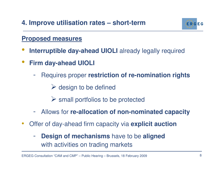

- $\bullet$ **Interruptible day-ahead UIOLI** already legally required
- $\bullet$  **Firm day-ahead UIOLI**
	- - Requires proper **restriction of re-nomination rights**
		- design to be defined
		- small portfolios to be protected
	- $\mathcal{L}^{\text{max}}_{\text{max}}$ Allows for **re-allocation of non-nominated capacity**
- $\bullet$  Offer of day-ahead firm capacity via **explicit auction**
	- - **Design of mechanisms** have to be **aligned**  with activities on trading markets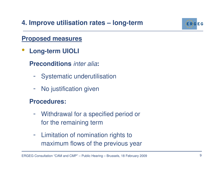

 $\bullet$ **Long-term UIOLI**

**Preconditions** inter alia**:**

- -Systematic underutilisation
- -No justification given

#### **Procedures:**

- - Withdrawal for a specified period or for the remaining term
- - Limitation of nomination rights to maximum flows of the previous year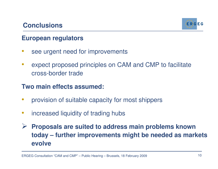#### **Conclusions**



#### **European regulators**

- •see urgent need for improvements
- • expect proposed principles on CAM and CMP to facilitate cross-border trade

#### **Two main effects assumed:**

- •provision of suitable capacity for most shippers
- •increased liquidity of trading hubs
- $\blacktriangleright$  **Proposals are suited to address main problems known today – further improvements might be needed as markets evolve**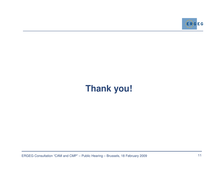

## **Thank you!**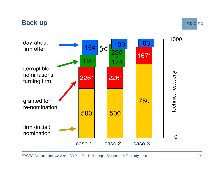### **Back up**





ERGEG Consultation "CAM and CMP" – Public Hearing – Brussels, 18 February 2009